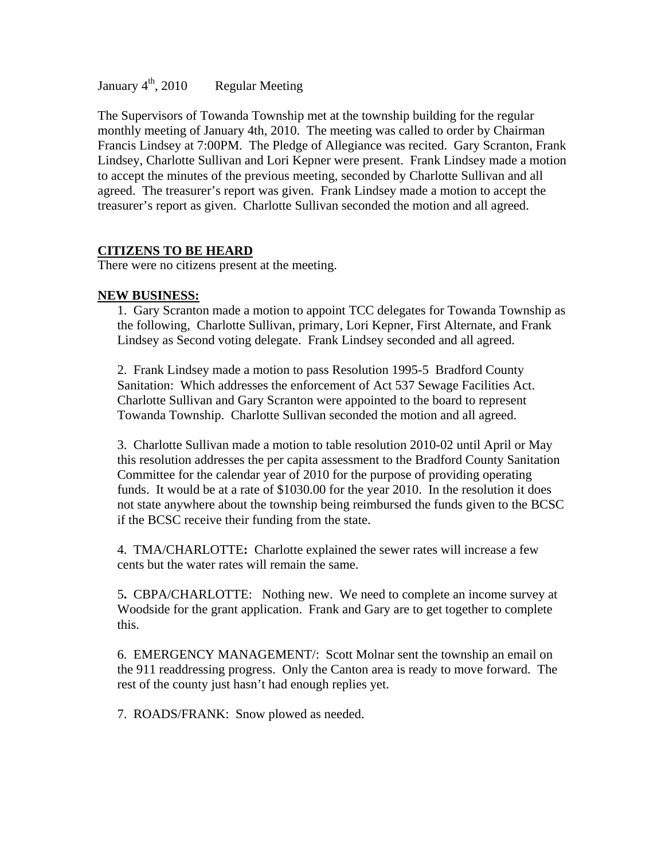January  $4^{\text{th}}$ , 2010 Regular Meeting

The Supervisors of Towanda Township met at the township building for the regular monthly meeting of January 4th, 2010. The meeting was called to order by Chairman Francis Lindsey at 7:00PM. The Pledge of Allegiance was recited. Gary Scranton, Frank Lindsey, Charlotte Sullivan and Lori Kepner were present. Frank Lindsey made a motion to accept the minutes of the previous meeting, seconded by Charlotte Sullivan and all agreed. The treasurer's report was given. Frank Lindsey made a motion to accept the treasurer's report as given. Charlotte Sullivan seconded the motion and all agreed.

# **CITIZENS TO BE HEARD**

There were no citizens present at the meeting.

### **NEW BUSINESS:**

1. Gary Scranton made a motion to appoint TCC delegates for Towanda Township as the following, Charlotte Sullivan, primary, Lori Kepner, First Alternate, and Frank Lindsey as Second voting delegate. Frank Lindsey seconded and all agreed.

2. Frank Lindsey made a motion to pass Resolution 1995-5 Bradford County Sanitation: Which addresses the enforcement of Act 537 Sewage Facilities Act. Charlotte Sullivan and Gary Scranton were appointed to the board to represent Towanda Township. Charlotte Sullivan seconded the motion and all agreed.

3. Charlotte Sullivan made a motion to table resolution 2010-02 until April or May this resolution addresses the per capita assessment to the Bradford County Sanitation Committee for the calendar year of 2010 for the purpose of providing operating funds. It would be at a rate of \$1030.00 for the year 2010. In the resolution it does not state anywhere about the township being reimbursed the funds given to the BCSC if the BCSC receive their funding from the state.

4.TMA/CHARLOTTE**:** Charlotte explained the sewer rates will increase a few cents but the water rates will remain the same.

5**.** CBPA/CHARLOTTE:Nothing new. We need to complete an income survey at Woodside for the grant application. Frank and Gary are to get together to complete this.

6. EMERGENCY MANAGEMENT/: Scott Molnar sent the township an email on the 911 readdressing progress. Only the Canton area is ready to move forward. The rest of the county just hasn't had enough replies yet.

7. ROADS/FRANK: Snow plowed as needed.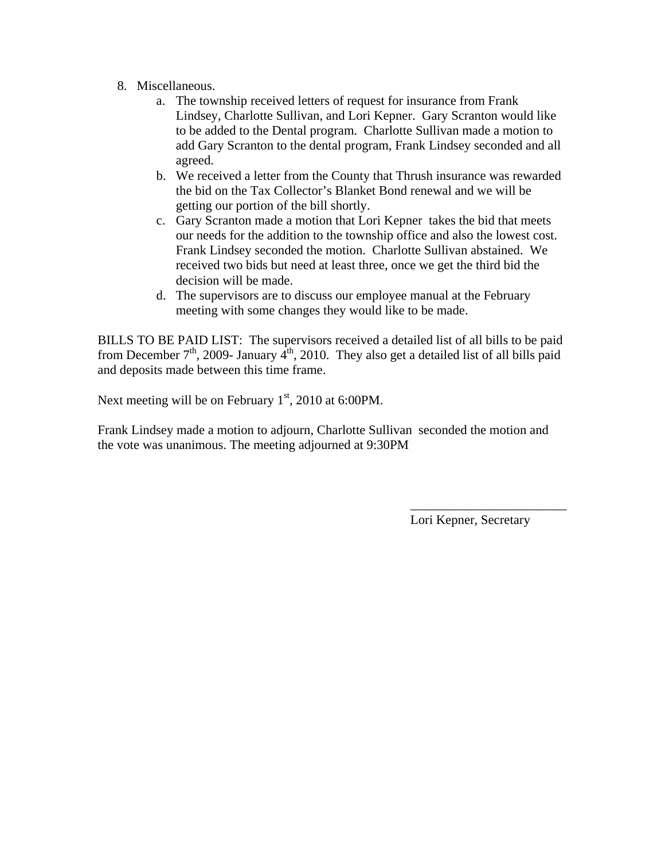- 8. Miscellaneous.
	- a. The township received letters of request for insurance from Frank Lindsey, Charlotte Sullivan, and Lori Kepner. Gary Scranton would like to be added to the Dental program. Charlotte Sullivan made a motion to add Gary Scranton to the dental program, Frank Lindsey seconded and all agreed.
	- b. We received a letter from the County that Thrush insurance was rewarded the bid on the Tax Collector's Blanket Bond renewal and we will be getting our portion of the bill shortly.
	- c. Gary Scranton made a motion that Lori Kepner takes the bid that meets our needs for the addition to the township office and also the lowest cost. Frank Lindsey seconded the motion. Charlotte Sullivan abstained. We received two bids but need at least three, once we get the third bid the decision will be made.
	- d. The supervisors are to discuss our employee manual at the February meeting with some changes they would like to be made.

BILLS TO BE PAID LIST: The supervisors received a detailed list of all bills to be paid from December  $7<sup>th</sup>$ , 2009- January  $4<sup>th</sup>$ , 2010. They also get a detailed list of all bills paid and deposits made between this time frame.

Next meeting will be on February  $1<sup>st</sup>$ , 2010 at 6:00PM.

Frank Lindsey made a motion to adjourn, Charlotte Sullivan seconded the motion and the vote was unanimous. The meeting adjourned at 9:30PM

 $\mathcal{L}_\text{max}$  , and the contract of the contract of the contract of the contract of the contract of the contract of the contract of the contract of the contract of the contract of the contract of the contract of the contr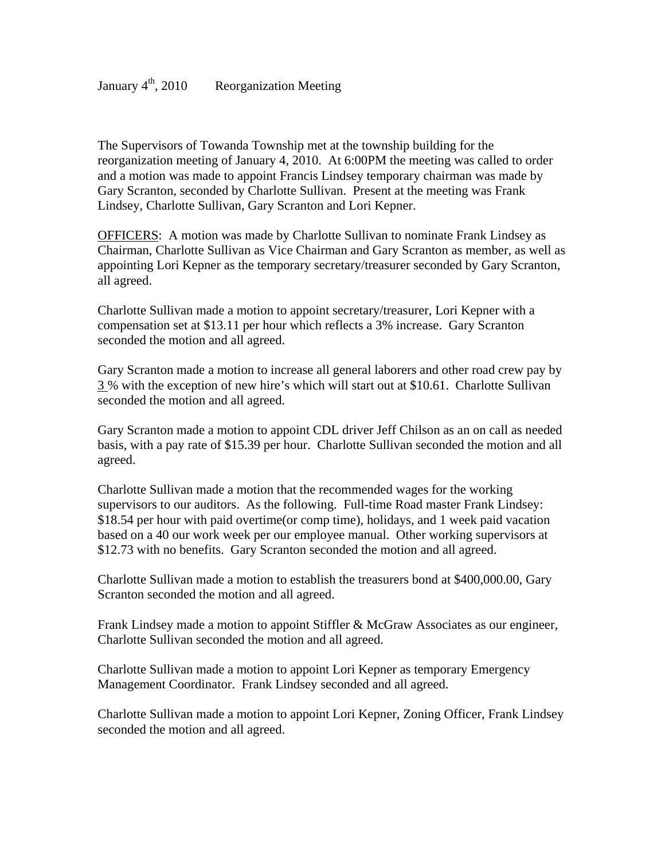The Supervisors of Towanda Township met at the township building for the reorganization meeting of January 4, 2010. At 6:00PM the meeting was called to order and a motion was made to appoint Francis Lindsey temporary chairman was made by Gary Scranton, seconded by Charlotte Sullivan. Present at the meeting was Frank Lindsey, Charlotte Sullivan, Gary Scranton and Lori Kepner.

OFFICERS: A motion was made by Charlotte Sullivan to nominate Frank Lindsey as Chairman, Charlotte Sullivan as Vice Chairman and Gary Scranton as member, as well as appointing Lori Kepner as the temporary secretary/treasurer seconded by Gary Scranton, all agreed.

Charlotte Sullivan made a motion to appoint secretary/treasurer, Lori Kepner with a compensation set at \$13.11 per hour which reflects a 3% increase. Gary Scranton seconded the motion and all agreed.

Gary Scranton made a motion to increase all general laborers and other road crew pay by 3 % with the exception of new hire's which will start out at \$10.61. Charlotte Sullivan seconded the motion and all agreed.

Gary Scranton made a motion to appoint CDL driver Jeff Chilson as an on call as needed basis, with a pay rate of \$15.39 per hour. Charlotte Sullivan seconded the motion and all agreed.

Charlotte Sullivan made a motion that the recommended wages for the working supervisors to our auditors. As the following. Full-time Road master Frank Lindsey: \$18.54 per hour with paid overtime(or comp time), holidays, and 1 week paid vacation based on a 40 our work week per our employee manual. Other working supervisors at \$12.73 with no benefits. Gary Scranton seconded the motion and all agreed.

Charlotte Sullivan made a motion to establish the treasurers bond at \$400,000.00, Gary Scranton seconded the motion and all agreed.

Frank Lindsey made a motion to appoint Stiffler & McGraw Associates as our engineer, Charlotte Sullivan seconded the motion and all agreed.

Charlotte Sullivan made a motion to appoint Lori Kepner as temporary Emergency Management Coordinator. Frank Lindsey seconded and all agreed.

Charlotte Sullivan made a motion to appoint Lori Kepner, Zoning Officer, Frank Lindsey seconded the motion and all agreed.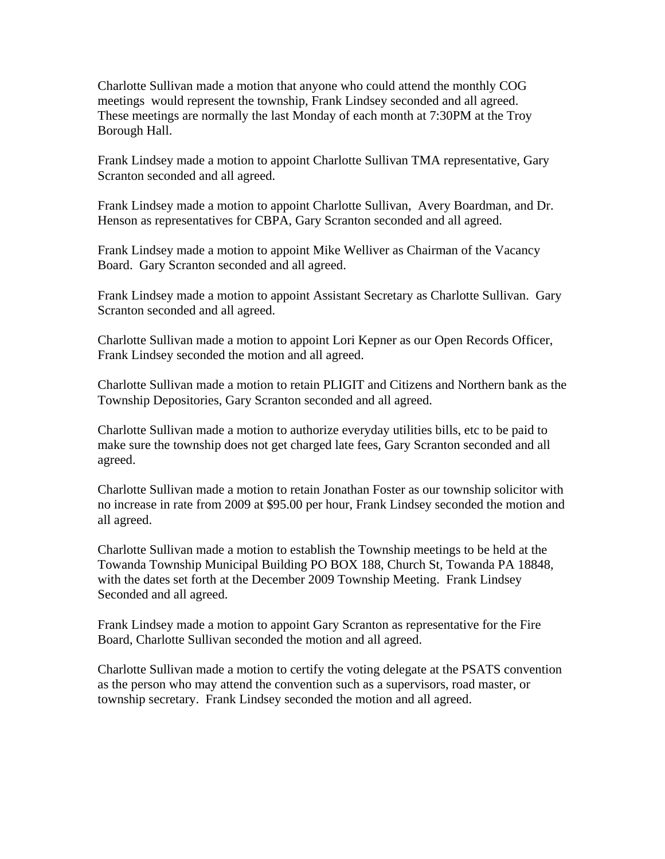Charlotte Sullivan made a motion that anyone who could attend the monthly COG meetings would represent the township, Frank Lindsey seconded and all agreed. These meetings are normally the last Monday of each month at 7:30PM at the Troy Borough Hall.

Frank Lindsey made a motion to appoint Charlotte Sullivan TMA representative, Gary Scranton seconded and all agreed.

Frank Lindsey made a motion to appoint Charlotte Sullivan, Avery Boardman, and Dr. Henson as representatives for CBPA, Gary Scranton seconded and all agreed.

Frank Lindsey made a motion to appoint Mike Welliver as Chairman of the Vacancy Board. Gary Scranton seconded and all agreed.

Frank Lindsey made a motion to appoint Assistant Secretary as Charlotte Sullivan. Gary Scranton seconded and all agreed.

Charlotte Sullivan made a motion to appoint Lori Kepner as our Open Records Officer, Frank Lindsey seconded the motion and all agreed.

Charlotte Sullivan made a motion to retain PLIGIT and Citizens and Northern bank as the Township Depositories, Gary Scranton seconded and all agreed.

Charlotte Sullivan made a motion to authorize everyday utilities bills, etc to be paid to make sure the township does not get charged late fees, Gary Scranton seconded and all agreed.

Charlotte Sullivan made a motion to retain Jonathan Foster as our township solicitor with no increase in rate from 2009 at \$95.00 per hour, Frank Lindsey seconded the motion and all agreed.

Charlotte Sullivan made a motion to establish the Township meetings to be held at the Towanda Township Municipal Building PO BOX 188, Church St, Towanda PA 18848, with the dates set forth at the December 2009 Township Meeting. Frank Lindsey Seconded and all agreed.

Frank Lindsey made a motion to appoint Gary Scranton as representative for the Fire Board, Charlotte Sullivan seconded the motion and all agreed.

Charlotte Sullivan made a motion to certify the voting delegate at the PSATS convention as the person who may attend the convention such as a supervisors, road master, or township secretary. Frank Lindsey seconded the motion and all agreed.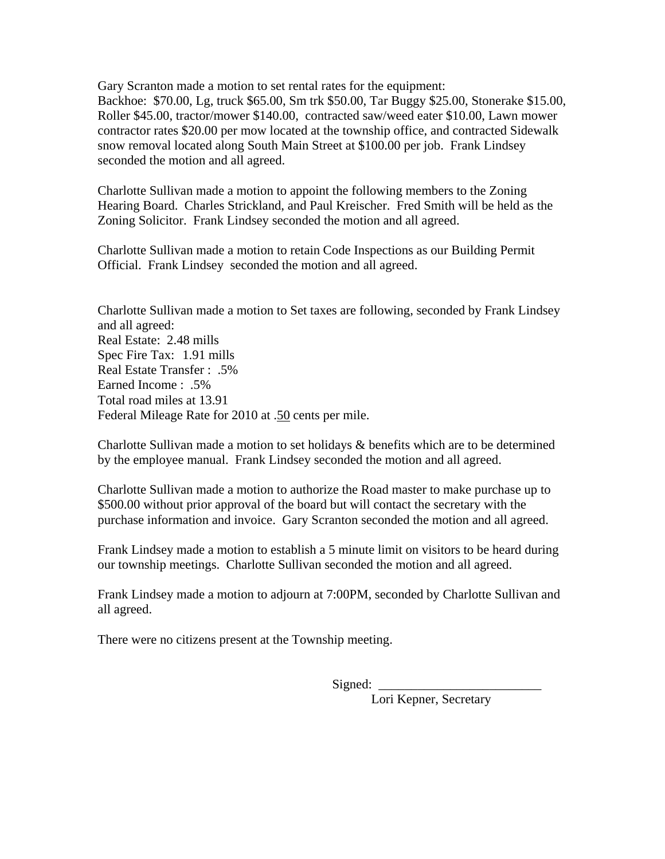Gary Scranton made a motion to set rental rates for the equipment: Backhoe: \$70.00, Lg, truck \$65.00, Sm trk \$50.00, Tar Buggy \$25.00, Stonerake \$15.00, Roller \$45.00, tractor/mower \$140.00, contracted saw/weed eater \$10.00, Lawn mower contractor rates \$20.00 per mow located at the township office, and contracted Sidewalk snow removal located along South Main Street at \$100.00 per job. Frank Lindsey seconded the motion and all agreed.

Charlotte Sullivan made a motion to appoint the following members to the Zoning Hearing Board. Charles Strickland, and Paul Kreischer. Fred Smith will be held as the Zoning Solicitor. Frank Lindsey seconded the motion and all agreed.

Charlotte Sullivan made a motion to retain Code Inspections as our Building Permit Official. Frank Lindsey seconded the motion and all agreed.

Charlotte Sullivan made a motion to Set taxes are following, seconded by Frank Lindsey and all agreed: Real Estate: 2.48 mills Spec Fire Tax: 1.91 mills Real Estate Transfer : .5% Earned Income : .5% Total road miles at 13.91 Federal Mileage Rate for 2010 at .50 cents per mile.

Charlotte Sullivan made a motion to set holidays & benefits which are to be determined by the employee manual. Frank Lindsey seconded the motion and all agreed.

Charlotte Sullivan made a motion to authorize the Road master to make purchase up to \$500.00 without prior approval of the board but will contact the secretary with the purchase information and invoice. Gary Scranton seconded the motion and all agreed.

Frank Lindsey made a motion to establish a 5 minute limit on visitors to be heard during our township meetings. Charlotte Sullivan seconded the motion and all agreed.

Frank Lindsey made a motion to adjourn at 7:00PM, seconded by Charlotte Sullivan and all agreed.

There were no citizens present at the Township meeting.

 $Sigma$  =  $\ldots$  =  $\ldots$  =  $\ldots$  =  $\ldots$  =  $\ldots$  =  $\ldots$  =  $\ldots$  =  $\ldots$  =  $\ldots$  =  $\ldots$  =  $\ldots$  =  $\ldots$  =  $\ldots$  =  $\ldots$  =  $\ldots$  =  $\ldots$  =  $\ldots$  =  $\ldots$  =  $\ldots$  =  $\ldots$  =  $\ldots$  =  $\ldots$  =  $\ldots$  =  $\ldots$  =  $\ldots$  =  $\ldots$  =  $\ldots$  =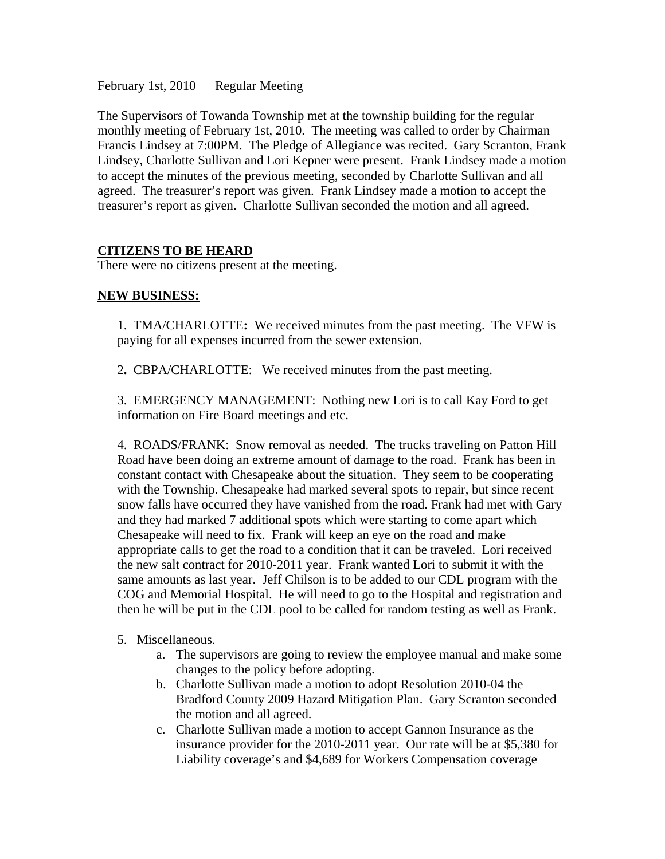February 1st, 2010 Regular Meeting

The Supervisors of Towanda Township met at the township building for the regular monthly meeting of February 1st, 2010. The meeting was called to order by Chairman Francis Lindsey at 7:00PM. The Pledge of Allegiance was recited. Gary Scranton, Frank Lindsey, Charlotte Sullivan and Lori Kepner were present. Frank Lindsey made a motion to accept the minutes of the previous meeting, seconded by Charlotte Sullivan and all agreed. The treasurer's report was given. Frank Lindsey made a motion to accept the treasurer's report as given. Charlotte Sullivan seconded the motion and all agreed.

# **CITIZENS TO BE HEARD**

There were no citizens present at the meeting.

# **NEW BUSINESS:**

1.TMA/CHARLOTTE**:** We received minutes from the past meeting. The VFW is paying for all expenses incurred from the sewer extension.

2**.** CBPA/CHARLOTTE:We received minutes from the past meeting.

3. EMERGENCY MANAGEMENT: Nothing new Lori is to call Kay Ford to get information on Fire Board meetings and etc.

4. ROADS/FRANK: Snow removal as needed. The trucks traveling on Patton Hill Road have been doing an extreme amount of damage to the road. Frank has been in constant contact with Chesapeake about the situation. They seem to be cooperating with the Township. Chesapeake had marked several spots to repair, but since recent snow falls have occurred they have vanished from the road. Frank had met with Gary and they had marked 7 additional spots which were starting to come apart which Chesapeake will need to fix. Frank will keep an eye on the road and make appropriate calls to get the road to a condition that it can be traveled. Lori received the new salt contract for 2010-2011 year. Frank wanted Lori to submit it with the same amounts as last year. Jeff Chilson is to be added to our CDL program with the COG and Memorial Hospital. He will need to go to the Hospital and registration and then he will be put in the CDL pool to be called for random testing as well as Frank.

# 5. Miscellaneous.

- a. The supervisors are going to review the employee manual and make some changes to the policy before adopting.
- b. Charlotte Sullivan made a motion to adopt Resolution 2010-04 the Bradford County 2009 Hazard Mitigation Plan. Gary Scranton seconded the motion and all agreed.
- c. Charlotte Sullivan made a motion to accept Gannon Insurance as the insurance provider for the 2010-2011 year. Our rate will be at \$5,380 for Liability coverage's and \$4,689 for Workers Compensation coverage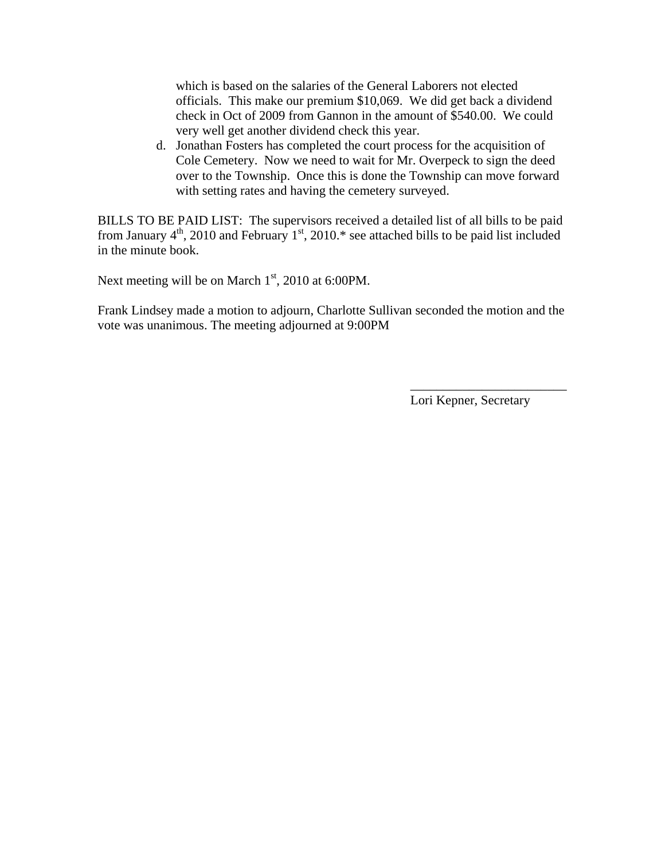which is based on the salaries of the General Laborers not elected officials. This make our premium \$10,069. We did get back a dividend check in Oct of 2009 from Gannon in the amount of \$540.00. We could very well get another dividend check this year.

d. Jonathan Fosters has completed the court process for the acquisition of Cole Cemetery. Now we need to wait for Mr. Overpeck to sign the deed over to the Township. Once this is done the Township can move forward with setting rates and having the cemetery surveyed.

BILLS TO BE PAID LIST: The supervisors received a detailed list of all bills to be paid from January  $4<sup>th</sup>$ , 2010 and February 1<sup>st</sup>, 2010.\* see attached bills to be paid list included in the minute book.

Next meeting will be on March  $1<sup>st</sup>$ , 2010 at 6:00PM.

Frank Lindsey made a motion to adjourn, Charlotte Sullivan seconded the motion and the vote was unanimous. The meeting adjourned at 9:00PM

 $\overline{\phantom{a}}$  , which is a set of the contract of the contract of the contract of the contract of the contract of the contract of the contract of the contract of the contract of the contract of the contract of the contract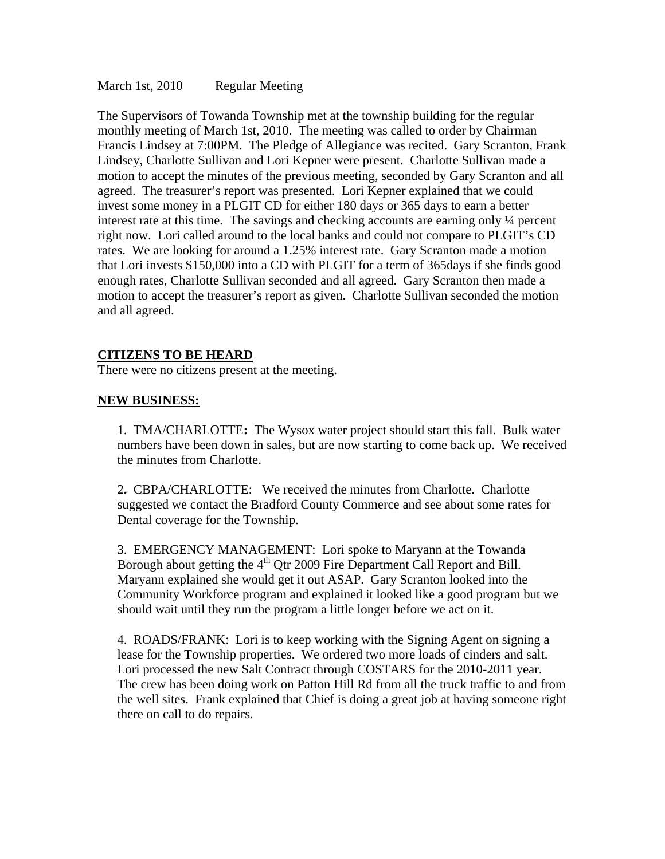March 1st, 2010 Regular Meeting

The Supervisors of Towanda Township met at the township building for the regular monthly meeting of March 1st, 2010. The meeting was called to order by Chairman Francis Lindsey at 7:00PM. The Pledge of Allegiance was recited. Gary Scranton, Frank Lindsey, Charlotte Sullivan and Lori Kepner were present. Charlotte Sullivan made a motion to accept the minutes of the previous meeting, seconded by Gary Scranton and all agreed. The treasurer's report was presented. Lori Kepner explained that we could invest some money in a PLGIT CD for either 180 days or 365 days to earn a better interest rate at this time. The savings and checking accounts are earning only ¼ percent right now. Lori called around to the local banks and could not compare to PLGIT's CD rates. We are looking for around a 1.25% interest rate. Gary Scranton made a motion that Lori invests \$150,000 into a CD with PLGIT for a term of 365days if she finds good enough rates, Charlotte Sullivan seconded and all agreed. Gary Scranton then made a motion to accept the treasurer's report as given. Charlotte Sullivan seconded the motion and all agreed.

### **CITIZENS TO BE HEARD**

There were no citizens present at the meeting.

### **NEW BUSINESS:**

1.TMA/CHARLOTTE**:** The Wysox water project should start this fall. Bulk water numbers have been down in sales, but are now starting to come back up. We received the minutes from Charlotte.

2**.** CBPA/CHARLOTTE:We received the minutes from Charlotte. Charlotte suggested we contact the Bradford County Commerce and see about some rates for Dental coverage for the Township.

3. EMERGENCY MANAGEMENT: Lori spoke to Maryann at the Towanda Borough about getting the  $4<sup>th</sup>$  Qtr 2009 Fire Department Call Report and Bill. Maryann explained she would get it out ASAP. Gary Scranton looked into the Community Workforce program and explained it looked like a good program but we should wait until they run the program a little longer before we act on it.

4. ROADS/FRANK: Lori is to keep working with the Signing Agent on signing a lease for the Township properties. We ordered two more loads of cinders and salt. Lori processed the new Salt Contract through COSTARS for the 2010-2011 year. The crew has been doing work on Patton Hill Rd from all the truck traffic to and from the well sites. Frank explained that Chief is doing a great job at having someone right there on call to do repairs.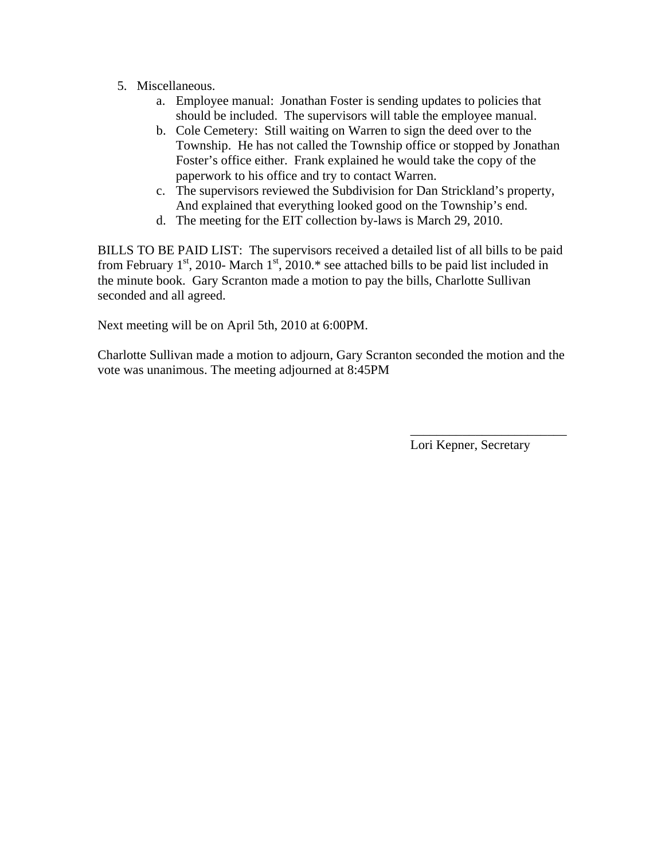- 5. Miscellaneous.
	- a. Employee manual: Jonathan Foster is sending updates to policies that should be included. The supervisors will table the employee manual.
	- b. Cole Cemetery: Still waiting on Warren to sign the deed over to the Township. He has not called the Township office or stopped by Jonathan Foster's office either. Frank explained he would take the copy of the paperwork to his office and try to contact Warren.
	- c. The supervisors reviewed the Subdivision for Dan Strickland's property, And explained that everything looked good on the Township's end.
	- d. The meeting for the EIT collection by-laws is March 29, 2010.

BILLS TO BE PAID LIST: The supervisors received a detailed list of all bills to be paid from February  $1<sup>st</sup>$ , 2010-March  $1<sup>st</sup>$ , 2010.\* see attached bills to be paid list included in the minute book. Gary Scranton made a motion to pay the bills, Charlotte Sullivan seconded and all agreed.

Next meeting will be on April 5th, 2010 at 6:00PM.

Charlotte Sullivan made a motion to adjourn, Gary Scranton seconded the motion and the vote was unanimous. The meeting adjourned at 8:45PM

 $\overline{\phantom{a}}$  , which is a set of the contract of the contract of the contract of the contract of the contract of the contract of the contract of the contract of the contract of the contract of the contract of the contract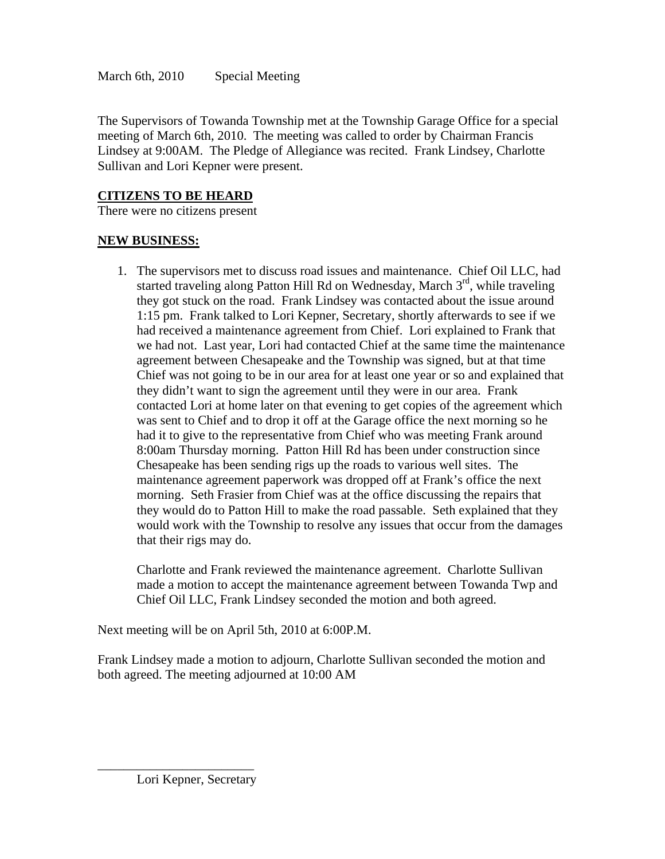The Supervisors of Towanda Township met at the Township Garage Office for a special meeting of March 6th, 2010. The meeting was called to order by Chairman Francis Lindsey at 9:00AM. The Pledge of Allegiance was recited. Frank Lindsey, Charlotte Sullivan and Lori Kepner were present.

# **CITIZENS TO BE HEARD**

There were no citizens present

# **NEW BUSINESS:**

1. The supervisors met to discuss road issues and maintenance. Chief Oil LLC, had started traveling along Patton Hill Rd on Wednesday, March  $3<sup>rd</sup>$ , while traveling they got stuck on the road. Frank Lindsey was contacted about the issue around 1:15 pm. Frank talked to Lori Kepner, Secretary, shortly afterwards to see if we had received a maintenance agreement from Chief. Lori explained to Frank that we had not. Last year, Lori had contacted Chief at the same time the maintenance agreement between Chesapeake and the Township was signed, but at that time Chief was not going to be in our area for at least one year or so and explained that they didn't want to sign the agreement until they were in our area. Frank contacted Lori at home later on that evening to get copies of the agreement which was sent to Chief and to drop it off at the Garage office the next morning so he had it to give to the representative from Chief who was meeting Frank around 8:00am Thursday morning. Patton Hill Rd has been under construction since Chesapeake has been sending rigs up the roads to various well sites. The maintenance agreement paperwork was dropped off at Frank's office the next morning. Seth Frasier from Chief was at the office discussing the repairs that they would do to Patton Hill to make the road passable. Seth explained that they would work with the Township to resolve any issues that occur from the damages that their rigs may do.

Charlotte and Frank reviewed the maintenance agreement. Charlotte Sullivan made a motion to accept the maintenance agreement between Towanda Twp and Chief Oil LLC, Frank Lindsey seconded the motion and both agreed.

Next meeting will be on April 5th, 2010 at 6:00P.M.

Frank Lindsey made a motion to adjourn, Charlotte Sullivan seconded the motion and both agreed. The meeting adjourned at 10:00 AM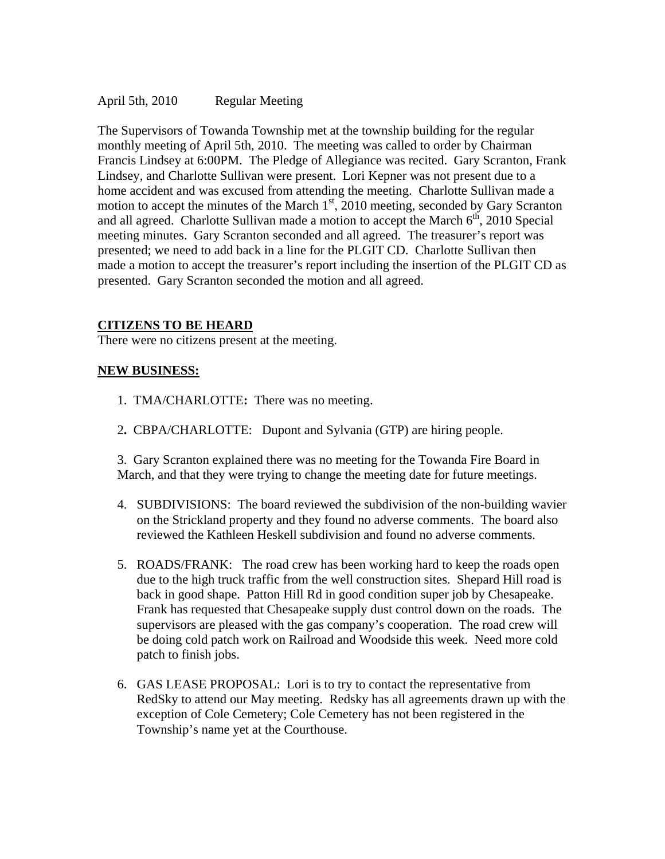April 5th, 2010 Regular Meeting

The Supervisors of Towanda Township met at the township building for the regular monthly meeting of April 5th, 2010. The meeting was called to order by Chairman Francis Lindsey at 6:00PM. The Pledge of Allegiance was recited. Gary Scranton, Frank Lindsey, and Charlotte Sullivan were present. Lori Kepner was not present due to a home accident and was excused from attending the meeting. Charlotte Sullivan made a motion to accept the minutes of the March  $1<sup>st</sup>$ , 2010 meeting, seconded by Gary Scranton and all agreed. Charlotte Sullivan made a motion to accept the March  $6<sup>th</sup>$ , 2010 Special meeting minutes. Gary Scranton seconded and all agreed. The treasurer's report was presented; we need to add back in a line for the PLGIT CD. Charlotte Sullivan then made a motion to accept the treasurer's report including the insertion of the PLGIT CD as presented. Gary Scranton seconded the motion and all agreed.

# **CITIZENS TO BE HEARD**

There were no citizens present at the meeting.

### **NEW BUSINESS:**

- 1.TMA/CHARLOTTE**:** There was no meeting.
- 2**.** CBPA/CHARLOTTE:Dupont and Sylvania (GTP) are hiring people.

3. Gary Scranton explained there was no meeting for the Towanda Fire Board in March, and that they were trying to change the meeting date for future meetings.

- 4. SUBDIVISIONS: The board reviewed the subdivision of the non-building wavier on the Strickland property and they found no adverse comments. The board also reviewed the Kathleen Heskell subdivision and found no adverse comments.
- 5. ROADS/FRANK: The road crew has been working hard to keep the roads open due to the high truck traffic from the well construction sites. Shepard Hill road is back in good shape. Patton Hill Rd in good condition super job by Chesapeake. Frank has requested that Chesapeake supply dust control down on the roads. The supervisors are pleased with the gas company's cooperation. The road crew will be doing cold patch work on Railroad and Woodside this week. Need more cold patch to finish jobs.
- 6. GAS LEASE PROPOSAL: Lori is to try to contact the representative from RedSky to attend our May meeting. Redsky has all agreements drawn up with the exception of Cole Cemetery; Cole Cemetery has not been registered in the Township's name yet at the Courthouse.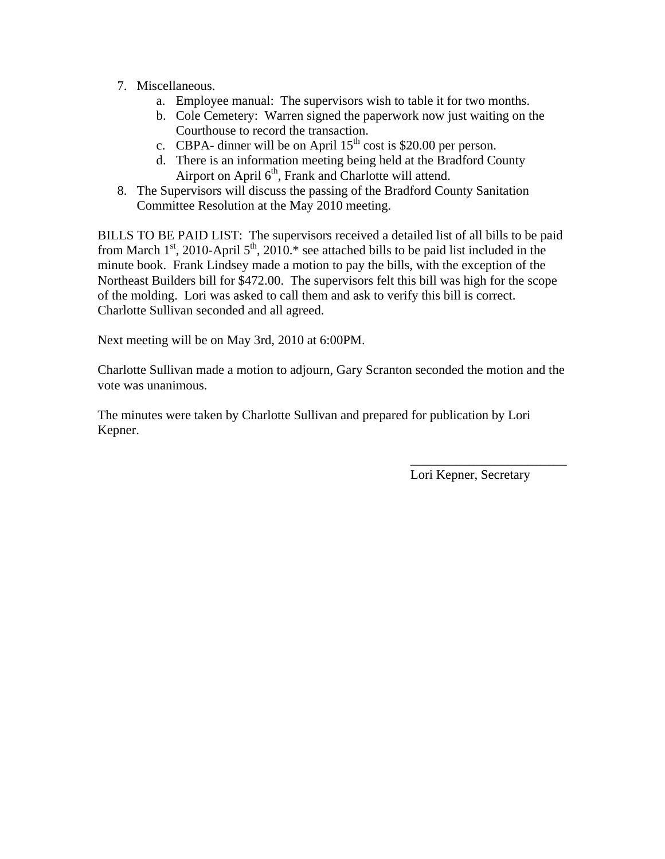- 7. Miscellaneous.
	- a. Employee manual: The supervisors wish to table it for two months.
	- b. Cole Cemetery: Warren signed the paperwork now just waiting on the Courthouse to record the transaction.
	- c. CBPA- dinner will be on April  $15<sup>th</sup>$  cost is \$20.00 per person.
	- d. There is an information meeting being held at the Bradford County Airport on April  $6<sup>th</sup>$ , Frank and Charlotte will attend.
- 8. The Supervisors will discuss the passing of the Bradford County Sanitation Committee Resolution at the May 2010 meeting.

BILLS TO BE PAID LIST: The supervisors received a detailed list of all bills to be paid from March  $1<sup>st</sup>$ , 2010-April  $5<sup>th</sup>$ , 2010.\* see attached bills to be paid list included in the minute book. Frank Lindsey made a motion to pay the bills, with the exception of the Northeast Builders bill for \$472.00. The supervisors felt this bill was high for the scope of the molding. Lori was asked to call them and ask to verify this bill is correct. Charlotte Sullivan seconded and all agreed.

Next meeting will be on May 3rd, 2010 at 6:00PM.

Charlotte Sullivan made a motion to adjourn, Gary Scranton seconded the motion and the vote was unanimous.

 $\overline{\phantom{a}}$  , which is a set of the contract of the contract of the contract of the contract of the contract of the contract of the contract of the contract of the contract of the contract of the contract of the contract

The minutes were taken by Charlotte Sullivan and prepared for publication by Lori Kepner.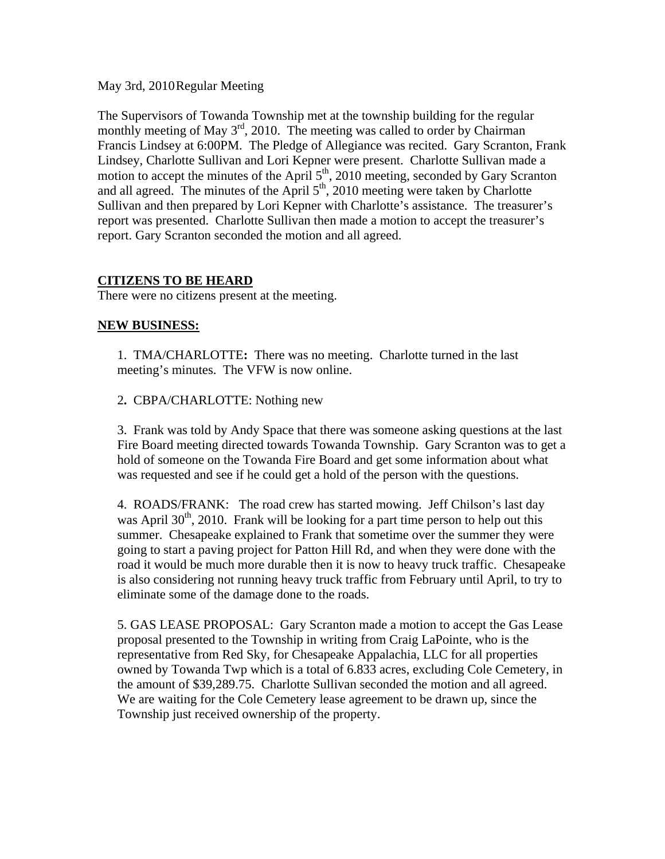May 3rd, 2010 Regular Meeting

The Supervisors of Towanda Township met at the township building for the regular monthly meeting of May  $3<sup>rd</sup>$ , 2010. The meeting was called to order by Chairman Francis Lindsey at 6:00PM. The Pledge of Allegiance was recited. Gary Scranton, Frank Lindsey, Charlotte Sullivan and Lori Kepner were present. Charlotte Sullivan made a motion to accept the minutes of the April  $5<sup>th</sup>$ , 2010 meeting, seconded by Gary Scranton and all agreed. The minutes of the April  $5<sup>th</sup>$ , 2010 meeting were taken by Charlotte Sullivan and then prepared by Lori Kepner with Charlotte's assistance. The treasurer's report was presented. Charlotte Sullivan then made a motion to accept the treasurer's report. Gary Scranton seconded the motion and all agreed.

# **CITIZENS TO BE HEARD**

There were no citizens present at the meeting.

# **NEW BUSINESS:**

1.TMA/CHARLOTTE**:** There was no meeting. Charlotte turned in the last meeting's minutes. The VFW is now online.

2**.** CBPA/CHARLOTTE: Nothing new

3. Frank was told by Andy Space that there was someone asking questions at the last Fire Board meeting directed towards Towanda Township. Gary Scranton was to get a hold of someone on the Towanda Fire Board and get some information about what was requested and see if he could get a hold of the person with the questions.

4. ROADS/FRANK: The road crew has started mowing. Jeff Chilson's last day was April  $30<sup>th</sup>$ , 2010. Frank will be looking for a part time person to help out this summer. Chesapeake explained to Frank that sometime over the summer they were going to start a paving project for Patton Hill Rd, and when they were done with the road it would be much more durable then it is now to heavy truck traffic. Chesapeake is also considering not running heavy truck traffic from February until April, to try to eliminate some of the damage done to the roads.

5. GAS LEASE PROPOSAL: Gary Scranton made a motion to accept the Gas Lease proposal presented to the Township in writing from Craig LaPointe, who is the representative from Red Sky, for Chesapeake Appalachia, LLC for all properties owned by Towanda Twp which is a total of 6.833 acres, excluding Cole Cemetery, in the amount of \$39,289.75. Charlotte Sullivan seconded the motion and all agreed. We are waiting for the Cole Cemetery lease agreement to be drawn up, since the Township just received ownership of the property.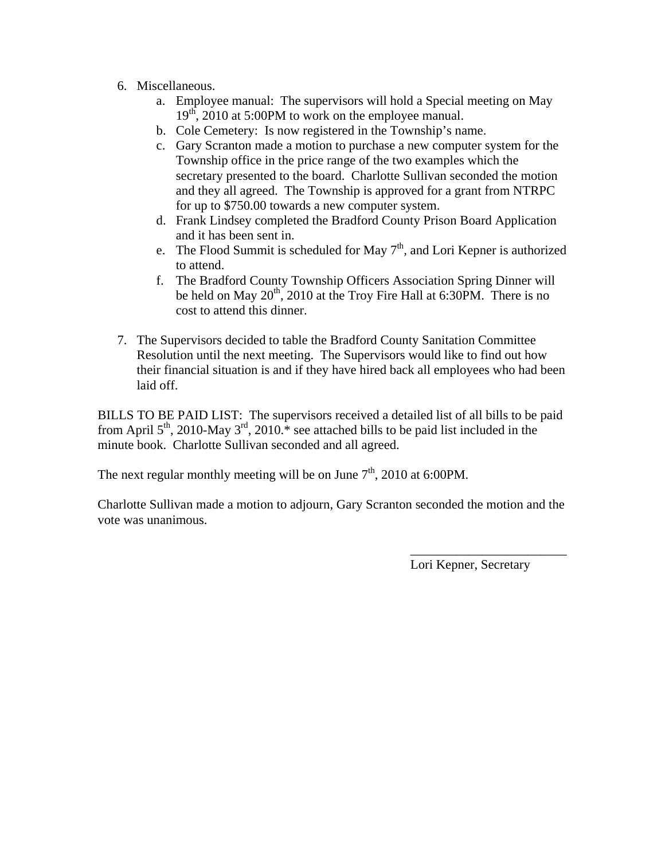- 6. Miscellaneous.
	- a. Employee manual: The supervisors will hold a Special meeting on May  $19<sup>th</sup>$ , 2010 at 5:00PM to work on the employee manual.
	- b. Cole Cemetery: Is now registered in the Township's name.
	- c. Gary Scranton made a motion to purchase a new computer system for the Township office in the price range of the two examples which the secretary presented to the board. Charlotte Sullivan seconded the motion and they all agreed. The Township is approved for a grant from NTRPC for up to \$750.00 towards a new computer system.
	- d. Frank Lindsey completed the Bradford County Prison Board Application and it has been sent in.
	- e. The Flood Summit is scheduled for May  $7<sup>th</sup>$ , and Lori Kepner is authorized to attend.
	- f. The Bradford County Township Officers Association Spring Dinner will be held on May  $20<sup>th</sup>$ , 2010 at the Troy Fire Hall at 6:30PM. There is no cost to attend this dinner.
- 7. The Supervisors decided to table the Bradford County Sanitation Committee Resolution until the next meeting. The Supervisors would like to find out how their financial situation is and if they have hired back all employees who had been laid off.

BILLS TO BE PAID LIST: The supervisors received a detailed list of all bills to be paid from April  $5<sup>th</sup>$ , 2010-May  $3<sup>rd</sup>$ , 2010.<sup>\*</sup> see attached bills to be paid list included in the minute book. Charlotte Sullivan seconded and all agreed.

The next regular monthly meeting will be on June  $7<sup>th</sup>$ , 2010 at 6:00PM.

Charlotte Sullivan made a motion to adjourn, Gary Scranton seconded the motion and the vote was unanimous.

 $\overline{\phantom{a}}$  , which is a set of the contract of the contract of the contract of the contract of the contract of the contract of the contract of the contract of the contract of the contract of the contract of the contract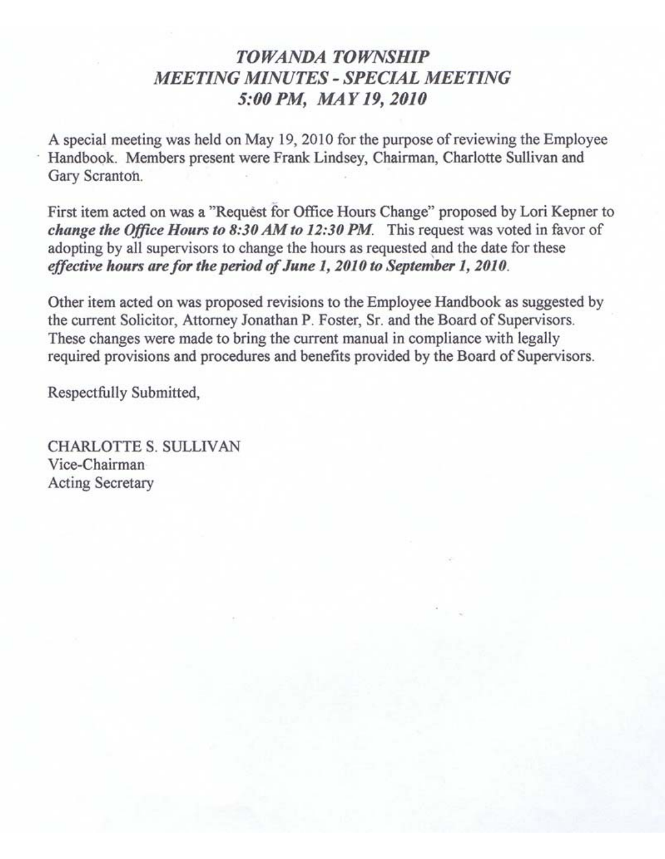# **TOWANDA TOWNSHIP MEETING MINUTES - SPECIAL MEETING** 5:00 PM, MAY 19, 2010

A special meeting was held on May 19, 2010 for the purpose of reviewing the Employee Handbook. Members present were Frank Lindsey, Chairman, Charlotte Sullivan and Gary Scranton.

First item acted on was a "Request for Office Hours Change" proposed by Lori Kepner to change the Office Hours to 8:30 AM to 12:30 PM. This request was voted in favor of adopting by all supervisors to change the hours as requested and the date for these effective hours are for the period of June 1, 2010 to September 1, 2010.

Other item acted on was proposed revisions to the Employee Handbook as suggested by the current Solicitor, Attorney Jonathan P. Foster, Sr. and the Board of Supervisors. These changes were made to bring the current manual in compliance with legally required provisions and procedures and benefits provided by the Board of Supervisors.

Respectfully Submitted,

**CHARLOTTE S. SULLIVAN** Vice-Chairman **Acting Secretary**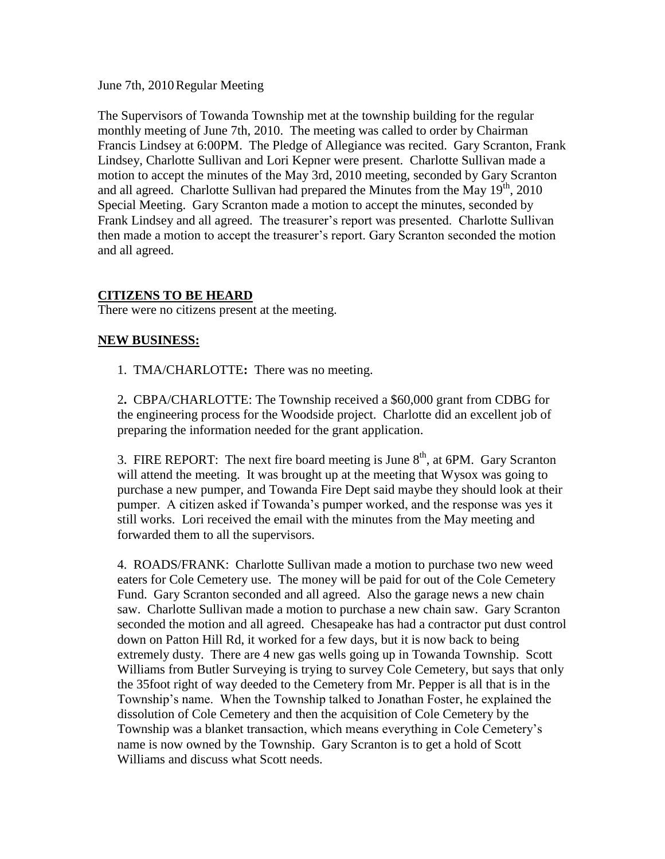June 7th, 2010Regular Meeting

The Supervisors of Towanda Township met at the township building for the regular monthly meeting of June 7th, 2010. The meeting was called to order by Chairman Francis Lindsey at 6:00PM. The Pledge of Allegiance was recited. Gary Scranton, Frank Lindsey, Charlotte Sullivan and Lori Kepner were present. Charlotte Sullivan made a motion to accept the minutes of the May 3rd, 2010 meeting, seconded by Gary Scranton and all agreed. Charlotte Sullivan had prepared the Minutes from the May  $19<sup>th</sup>$ , 2010 Special Meeting. Gary Scranton made a motion to accept the minutes, seconded by Frank Lindsey and all agreed. The treasurer's report was presented. Charlotte Sullivan then made a motion to accept the treasurer's report. Gary Scranton seconded the motion and all agreed.

# **CITIZENS TO BE HEARD**

There were no citizens present at the meeting.

### **NEW BUSINESS:**

1.TMA/CHARLOTTE**:** There was no meeting.

2**.** CBPA/CHARLOTTE: The Township received a \$60,000 grant from CDBG for the engineering process for the Woodside project. Charlotte did an excellent job of preparing the information needed for the grant application.

3. FIRE REPORT: The next fire board meeting is June  $8<sup>th</sup>$ , at 6PM. Gary Scranton will attend the meeting. It was brought up at the meeting that Wysox was going to purchase a new pumper, and Towanda Fire Dept said maybe they should look at their pumper. A citizen asked if Towanda's pumper worked, and the response was yes it still works. Lori received the email with the minutes from the May meeting and forwarded them to all the supervisors.

4. ROADS/FRANK: Charlotte Sullivan made a motion to purchase two new weed eaters for Cole Cemetery use. The money will be paid for out of the Cole Cemetery Fund. Gary Scranton seconded and all agreed. Also the garage news a new chain saw. Charlotte Sullivan made a motion to purchase a new chain saw. Gary Scranton seconded the motion and all agreed. Chesapeake has had a contractor put dust control down on Patton Hill Rd, it worked for a few days, but it is now back to being extremely dusty. There are 4 new gas wells going up in Towanda Township. Scott Williams from Butler Surveying is trying to survey Cole Cemetery, but says that only the 35foot right of way deeded to the Cemetery from Mr. Pepper is all that is in the Township's name. When the Township talked to Jonathan Foster, he explained the dissolution of Cole Cemetery and then the acquisition of Cole Cemetery by the Township was a blanket transaction, which means everything in Cole Cemetery's name is now owned by the Township. Gary Scranton is to get a hold of Scott Williams and discuss what Scott needs.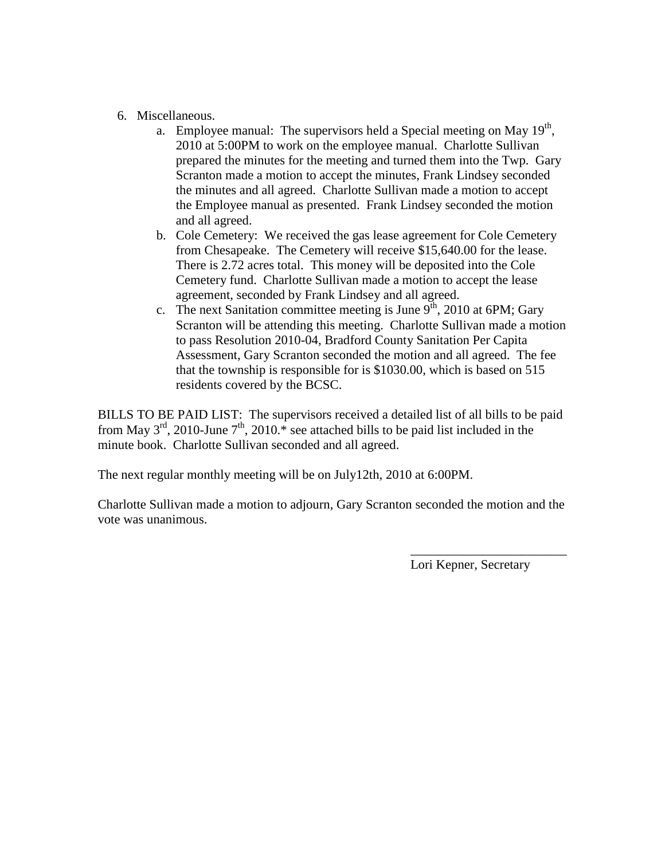- 6. Miscellaneous.
	- a. Employee manual: The supervisors held a Special meeting on May  $19<sup>th</sup>$ , 2010 at 5:00PM to work on the employee manual. Charlotte Sullivan prepared the minutes for the meeting and turned them into the Twp. Gary Scranton made a motion to accept the minutes, Frank Lindsey seconded the minutes and all agreed. Charlotte Sullivan made a motion to accept the Employee manual as presented. Frank Lindsey seconded the motion and all agreed.
	- b. Cole Cemetery: We received the gas lease agreement for Cole Cemetery from Chesapeake. The Cemetery will receive \$15,640.00 for the lease. There is 2.72 acres total. This money will be deposited into the Cole Cemetery fund. Charlotte Sullivan made a motion to accept the lease agreement, seconded by Frank Lindsey and all agreed.
	- c. The next Sanitation committee meeting is June  $9<sup>th</sup>$ , 2010 at 6PM; Gary Scranton will be attending this meeting. Charlotte Sullivan made a motion to pass Resolution 2010-04, Bradford County Sanitation Per Capita Assessment, Gary Scranton seconded the motion and all agreed. The fee that the township is responsible for is \$1030.00, which is based on 515 residents covered by the BCSC.

BILLS TO BE PAID LIST: The supervisors received a detailed list of all bills to be paid from May  $3^{rd}$ , 2010-June  $7^{th}$ , 2010.<sup>\*</sup> see attached bills to be paid list included in the minute book. Charlotte Sullivan seconded and all agreed.

The next regular monthly meeting will be on July12th, 2010 at 6:00PM.

Charlotte Sullivan made a motion to adjourn, Gary Scranton seconded the motion and the vote was unanimous.

Lori Kepner, Secretary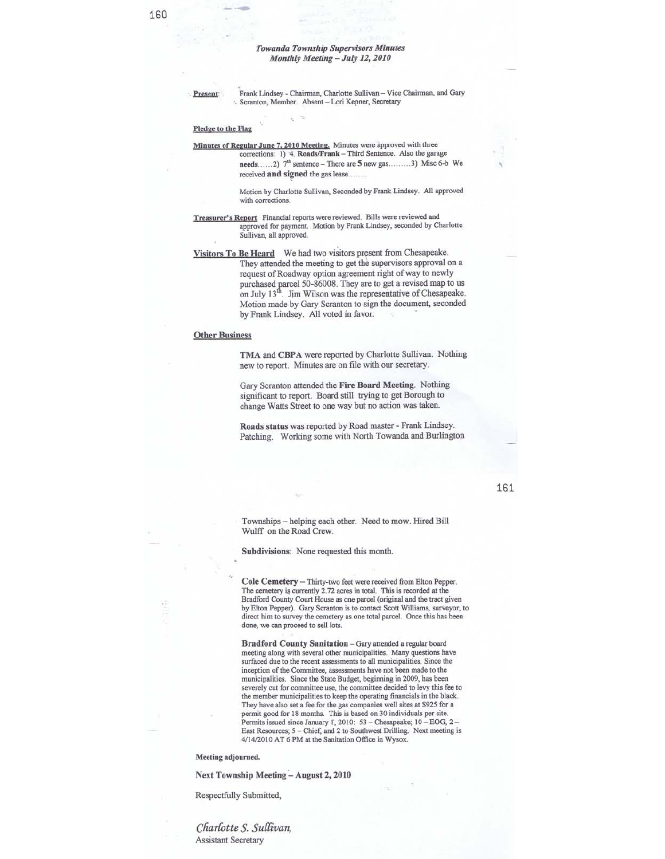Present:

Frank Lindsey - Chairman, Charlotte Sullivan - Vice Chairman, and Gary Scranton, Member. Absent - Lori Kepner, Secretary

#### Pledge to the Flag

Minutes of Regular June 7, 2010 Meeting. Minutes were approved with three corrections: 1) 4. Roads/Frank - Third Sentence. Also the garage needs......2)  $7^{\text{th}}$  sentence – There are 5 new gas.........3) Misc 6-b We received and signed the gas lease........

> Motion by Charlotte Sullivan, Seconded by Frank Lindsey. All approved with corrections.

- Treasurer's Report Financial reports were reviewed. Bills were reviewed and approved for payment. Motion by Frank Lindsey, seconded by Charlotte Sullivan, all approved.
- Visitors To Be Heard We had two visitors present from Chesapeake. They attended the meeting to get the supervisors approval on a request of Roadway option agreement right of way to newly purchased parcel 50-86008. They are to get a revised map to us on July  $13^{\text{th}}$ . Jim Wilson was the representative of Chesapeake. Motion made by Gary Scranton to sign the document, seconded by Frank Lindsey. All voted in favor.

#### **Other Business**

TMA and CBPA were reported by Charlotte Sullivan. Nothing new to report. Minutes are on file with our secretary.

Gary Scranton attended the Fire Board Meeting. Nothing significant to report. Board still trying to get Borough to change Watts Street to one way but no action was taken.

Roads status was reported by Road master - Frank Lindsey. Patching. Working some with North Towanda and Burlington

Townships - helping each other. Need to mow. Hired Bill Wulff on the Road Crew.

Subdivisions: None requested this month.

Cole Cemetery - Thirty-two feet were received from Elton Pepper. The cemetery is currently 2.72 acres in total. This is recorded at the Bradford County Court House as one parcel (original and the tract given by Elton Pepper). Gary Scranton is to contact Scott Williams, surveyor, to direct him to survey the cemetery as one total parcel. Once this has been done, we can proceed to sell lots.

Bradford County Sanitation - Gary attended a regular board meeting along with several other municipalities. Many questions have surfaced due to the recent assessments to all municipalities. Since the inception of the Committee, assessments have not been made to the municipalities. Since the State Budget, beginning in 2009, has been severely cut for committee use, the committee decided to levy this fee to the member municipalities to keep the operating financials in the black. They have also set a fee for the gas companies well sites at \$925 for a permit good for 18 months. This is based on 30 individuals per site. Permits issued since January 1, 2010: 53 - Chesapeake; 10 - EOG, 2 -East Resources; 5 - Chief, and 2 to Southwest Drilling. Next meeting is 4/14/2010 AT 6 PM at the Sanitation Office in Wysox.

#### Meeting adjourned.

Next Township Meeting - August 2, 2010

Respectfully Submitted,

Charlotte S. Sullivan, **Assistant Secretary** 

161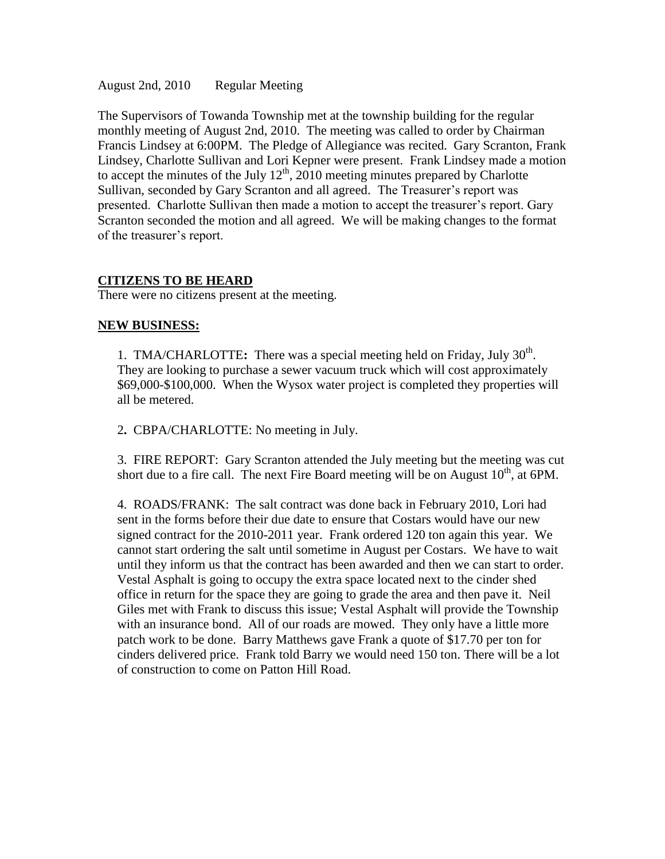August 2nd, 2010 Regular Meeting

The Supervisors of Towanda Township met at the township building for the regular monthly meeting of August 2nd, 2010. The meeting was called to order by Chairman Francis Lindsey at 6:00PM. The Pledge of Allegiance was recited. Gary Scranton, Frank Lindsey, Charlotte Sullivan and Lori Kepner were present. Frank Lindsey made a motion to accept the minutes of the July  $12<sup>th</sup>$ , 2010 meeting minutes prepared by Charlotte Sullivan, seconded by Gary Scranton and all agreed. The Treasurer's report was presented. Charlotte Sullivan then made a motion to accept the treasurer's report. Gary Scranton seconded the motion and all agreed. We will be making changes to the format of the treasurer's report.

#### **CITIZENS TO BE HEARD**

There were no citizens present at the meeting.

#### **NEW BUSINESS:**

1. TMA/CHARLOTTE: There was a special meeting held on Friday, July 30<sup>th</sup>. They are looking to purchase a sewer vacuum truck which will cost approximately \$69,000-\$100,000. When the Wysox water project is completed they properties will all be metered.

2**.** CBPA/CHARLOTTE: No meeting in July.

3. FIRE REPORT: Gary Scranton attended the July meeting but the meeting was cut short due to a fire call. The next Fire Board meeting will be on August  $10^{th}$ , at 6PM.

4. ROADS/FRANK: The salt contract was done back in February 2010, Lori had sent in the forms before their due date to ensure that Costars would have our new signed contract for the 2010-2011 year. Frank ordered 120 ton again this year. We cannot start ordering the salt until sometime in August per Costars. We have to wait until they inform us that the contract has been awarded and then we can start to order. Vestal Asphalt is going to occupy the extra space located next to the cinder shed office in return for the space they are going to grade the area and then pave it. Neil Giles met with Frank to discuss this issue; Vestal Asphalt will provide the Township with an insurance bond. All of our roads are mowed. They only have a little more patch work to be done. Barry Matthews gave Frank a quote of \$17.70 per ton for cinders delivered price. Frank told Barry we would need 150 ton. There will be a lot of construction to come on Patton Hill Road.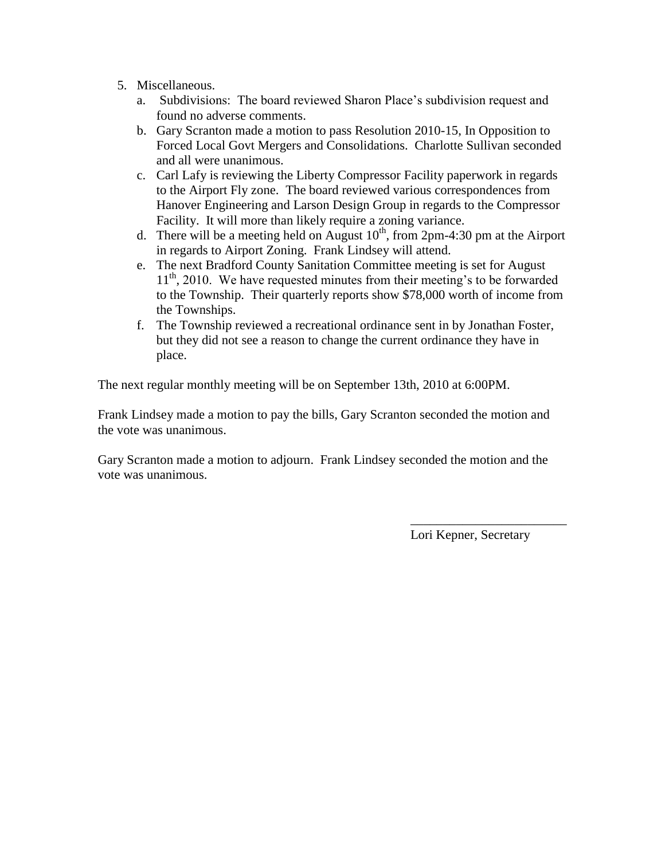- 5. Miscellaneous.
	- a. Subdivisions: The board reviewed Sharon Place's subdivision request and found no adverse comments.
	- b. Gary Scranton made a motion to pass Resolution 2010-15, In Opposition to Forced Local Govt Mergers and Consolidations. Charlotte Sullivan seconded and all were unanimous.
	- c. Carl Lafy is reviewing the Liberty Compressor Facility paperwork in regards to the Airport Fly zone. The board reviewed various correspondences from Hanover Engineering and Larson Design Group in regards to the Compressor Facility. It will more than likely require a zoning variance.
	- d. There will be a meeting held on August  $10^{th}$ , from 2pm-4:30 pm at the Airport in regards to Airport Zoning. Frank Lindsey will attend.
	- e. The next Bradford County Sanitation Committee meeting is set for August 11<sup>th</sup>, 2010. We have requested minutes from their meeting's to be forwarded to the Township. Their quarterly reports show \$78,000 worth of income from the Townships.
	- f. The Township reviewed a recreational ordinance sent in by Jonathan Foster, but they did not see a reason to change the current ordinance they have in place.

The next regular monthly meeting will be on September 13th, 2010 at 6:00PM.

Frank Lindsey made a motion to pay the bills, Gary Scranton seconded the motion and the vote was unanimous.

Gary Scranton made a motion to adjourn. Frank Lindsey seconded the motion and the vote was unanimous.

Lori Kepner, Secretary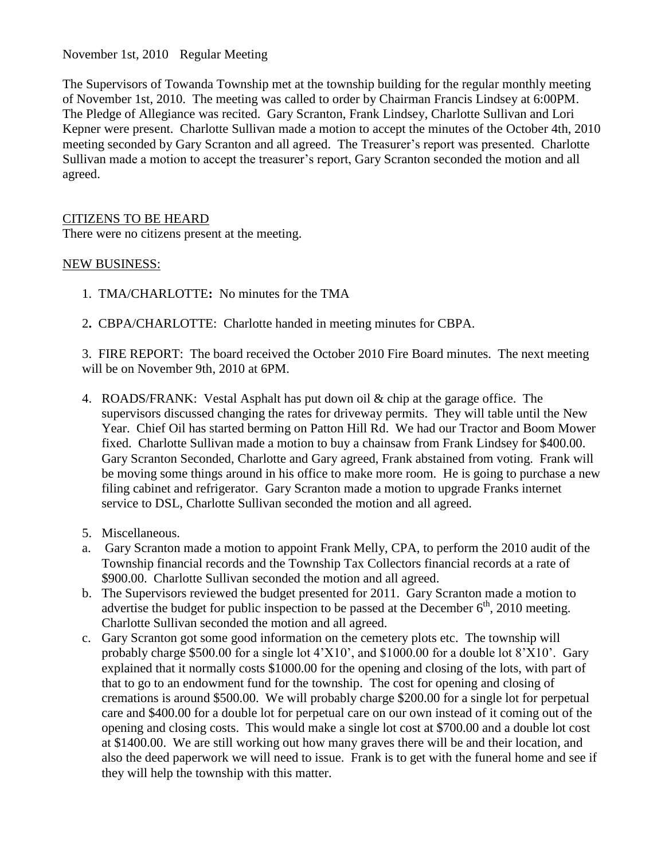November 1st, 2010 Regular Meeting

The Supervisors of Towanda Township met at the township building for the regular monthly meeting of November 1st, 2010. The meeting was called to order by Chairman Francis Lindsey at 6:00PM. The Pledge of Allegiance was recited. Gary Scranton, Frank Lindsey, Charlotte Sullivan and Lori Kepner were present. Charlotte Sullivan made a motion to accept the minutes of the October 4th, 2010 meeting seconded by Gary Scranton and all agreed. The Treasurer's report was presented. Charlotte Sullivan made a motion to accept the treasurer's report, Gary Scranton seconded the motion and all agreed.

# CITIZENS TO BE HEARD

There were no citizens present at the meeting.

### NEW BUSINESS:

- 1.TMA/CHARLOTTE**:** No minutes for the TMA
- 2**.** CBPA/CHARLOTTE: Charlotte handed in meeting minutes for CBPA.

3. FIRE REPORT: The board received the October 2010 Fire Board minutes. The next meeting will be on November 9th, 2010 at 6PM.

- 4. ROADS/FRANK: Vestal Asphalt has put down oil & chip at the garage office. The supervisors discussed changing the rates for driveway permits. They will table until the New Year. Chief Oil has started berming on Patton Hill Rd. We had our Tractor and Boom Mower fixed. Charlotte Sullivan made a motion to buy a chainsaw from Frank Lindsey for \$400.00. Gary Scranton Seconded, Charlotte and Gary agreed, Frank abstained from voting. Frank will be moving some things around in his office to make more room. He is going to purchase a new filing cabinet and refrigerator. Gary Scranton made a motion to upgrade Franks internet service to DSL, Charlotte Sullivan seconded the motion and all agreed.
- 5. Miscellaneous.
- a. Gary Scranton made a motion to appoint Frank Melly, CPA, to perform the 2010 audit of the Township financial records and the Township Tax Collectors financial records at a rate of \$900.00. Charlotte Sullivan seconded the motion and all agreed.
- b. The Supervisors reviewed the budget presented for 2011. Gary Scranton made a motion to advertise the budget for public inspection to be passed at the December  $6<sup>th</sup>$ , 2010 meeting. Charlotte Sullivan seconded the motion and all agreed.
- c. Gary Scranton got some good information on the cemetery plots etc. The township will probably charge \$500.00 for a single lot 4'X10', and \$1000.00 for a double lot 8'X10'. Gary explained that it normally costs \$1000.00 for the opening and closing of the lots, with part of that to go to an endowment fund for the township. The cost for opening and closing of cremations is around \$500.00. We will probably charge \$200.00 for a single lot for perpetual care and \$400.00 for a double lot for perpetual care on our own instead of it coming out of the opening and closing costs. This would make a single lot cost at \$700.00 and a double lot cost at \$1400.00. We are still working out how many graves there will be and their location, and also the deed paperwork we will need to issue. Frank is to get with the funeral home and see if they will help the township with this matter.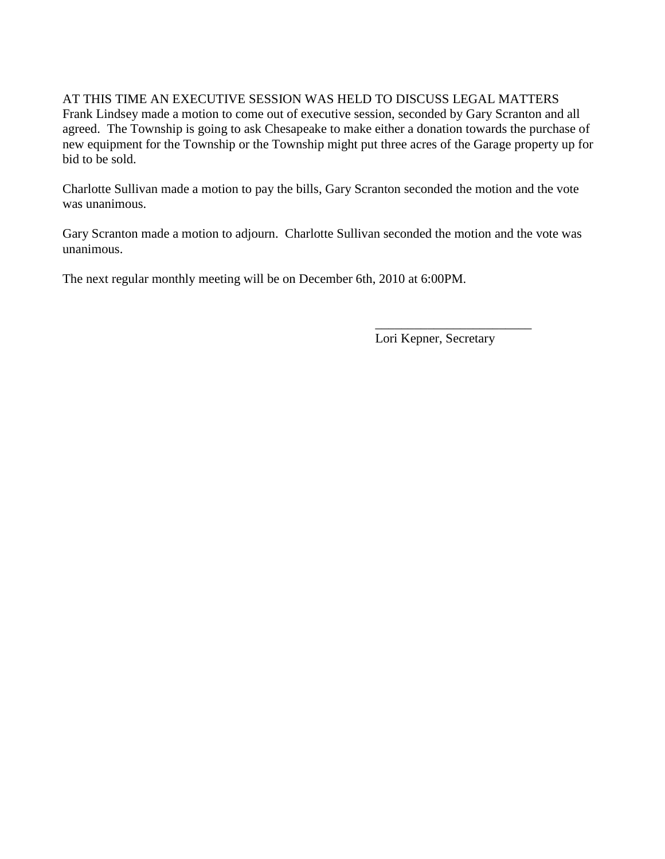### AT THIS TIME AN EXECUTIVE SESSION WAS HELD TO DISCUSS LEGAL MATTERS Frank Lindsey made a motion to come out of executive session, seconded by Gary Scranton and all agreed. The Township is going to ask Chesapeake to make either a donation towards the purchase of new equipment for the Township or the Township might put three acres of the Garage property up for bid to be sold.

Charlotte Sullivan made a motion to pay the bills, Gary Scranton seconded the motion and the vote was unanimous.

Gary Scranton made a motion to adjourn. Charlotte Sullivan seconded the motion and the vote was unanimous.

The next regular monthly meeting will be on December 6th, 2010 at 6:00PM.

Lori Kepner, Secretary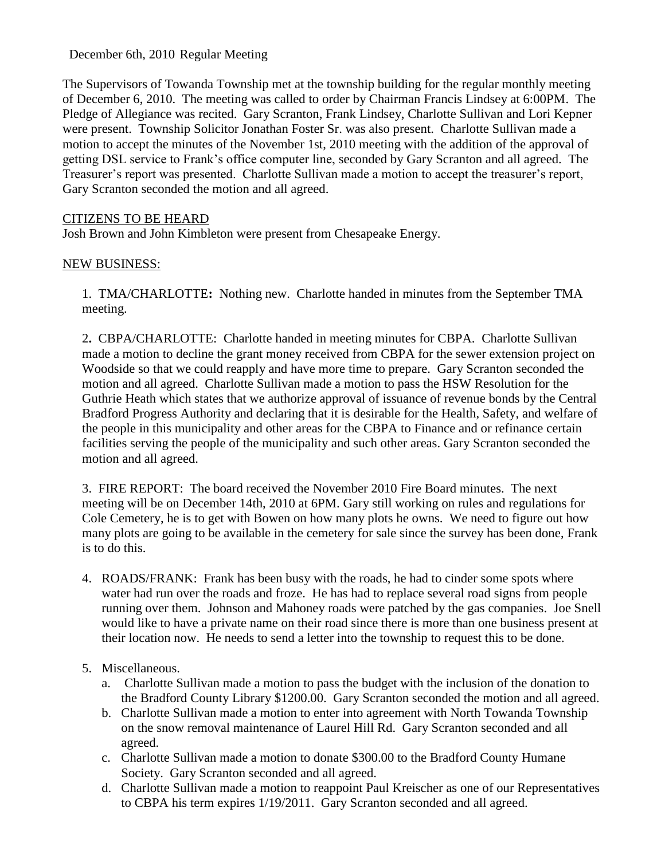December 6th, 2010 Regular Meeting

The Supervisors of Towanda Township met at the township building for the regular monthly meeting of December 6, 2010. The meeting was called to order by Chairman Francis Lindsey at 6:00PM. The Pledge of Allegiance was recited. Gary Scranton, Frank Lindsey, Charlotte Sullivan and Lori Kepner were present. Township Solicitor Jonathan Foster Sr. was also present. Charlotte Sullivan made a motion to accept the minutes of the November 1st, 2010 meeting with the addition of the approval of getting DSL service to Frank's office computer line, seconded by Gary Scranton and all agreed. The Treasurer's report was presented. Charlotte Sullivan made a motion to accept the treasurer's report, Gary Scranton seconded the motion and all agreed.

# CITIZENS TO BE HEARD

Josh Brown and John Kimbleton were present from Chesapeake Energy.

### NEW BUSINESS:

1.TMA/CHARLOTTE**:** Nothing new. Charlotte handed in minutes from the September TMA meeting.

2**.** CBPA/CHARLOTTE: Charlotte handed in meeting minutes for CBPA. Charlotte Sullivan made a motion to decline the grant money received from CBPA for the sewer extension project on Woodside so that we could reapply and have more time to prepare. Gary Scranton seconded the motion and all agreed. Charlotte Sullivan made a motion to pass the HSW Resolution for the Guthrie Heath which states that we authorize approval of issuance of revenue bonds by the Central Bradford Progress Authority and declaring that it is desirable for the Health, Safety, and welfare of the people in this municipality and other areas for the CBPA to Finance and or refinance certain facilities serving the people of the municipality and such other areas. Gary Scranton seconded the motion and all agreed.

3. FIRE REPORT: The board received the November 2010 Fire Board minutes. The next meeting will be on December 14th, 2010 at 6PM. Gary still working on rules and regulations for Cole Cemetery, he is to get with Bowen on how many plots he owns. We need to figure out how many plots are going to be available in the cemetery for sale since the survey has been done, Frank is to do this.

4. ROADS/FRANK: Frank has been busy with the roads, he had to cinder some spots where water had run over the roads and froze. He has had to replace several road signs from people running over them. Johnson and Mahoney roads were patched by the gas companies. Joe Snell would like to have a private name on their road since there is more than one business present at their location now. He needs to send a letter into the township to request this to be done.

### 5. Miscellaneous.

- a. Charlotte Sullivan made a motion to pass the budget with the inclusion of the donation to the Bradford County Library \$1200.00. Gary Scranton seconded the motion and all agreed.
- b. Charlotte Sullivan made a motion to enter into agreement with North Towanda Township on the snow removal maintenance of Laurel Hill Rd. Gary Scranton seconded and all agreed.
- c. Charlotte Sullivan made a motion to donate \$300.00 to the Bradford County Humane Society. Gary Scranton seconded and all agreed.
- d. Charlotte Sullivan made a motion to reappoint Paul Kreischer as one of our Representatives to CBPA his term expires 1/19/2011. Gary Scranton seconded and all agreed.